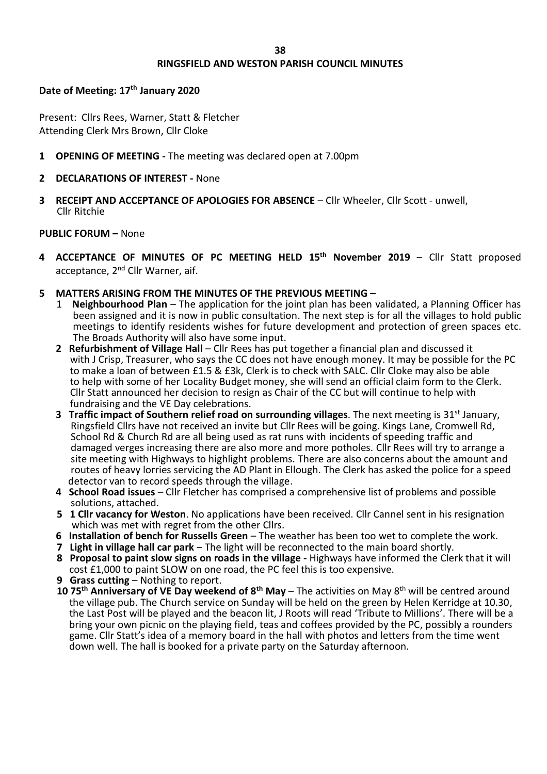#### **RINGSFIELD AND WESTON PARISH COUNCIL MINUTES**

#### **Date of Meeting: 17th January 2020**

Present: Cllrs Rees, Warner, Statt & Fletcher Attending Clerk Mrs Brown, Cllr Cloke

- **1 OPENING OF MEETING -** The meeting was declared open at 7.00pm
- **2 DECLARATIONS OF INTEREST -** None
- **3 RECEIPT AND ACCEPTANCE OF APOLOGIES FOR ABSENCE** Cllr Wheeler, Cllr Scott unwell, Cllr Ritchie

#### **PUBLIC FORUM –** None

- **4 ACCEPTANCE OF MINUTES OF PC MEETING HELD 15th November 2019** Cllr Statt proposed acceptance, 2<sup>nd</sup> Cllr Warner, aif.
- **5 MATTERS ARISING FROM THE MINUTES OF THE PREVIOUS MEETING –**
	- 1 **Neighbourhood Plan** The application for the joint plan has been validated, a Planning Officer has been assigned and it is now in public consultation. The next step is for all the villages to hold public meetings to identify residents wishes for future development and protection of green spaces etc. The Broads Authority will also have some input.
	- **2 Refurbishment of Village Hall** Cllr Rees has put together a financial plan and discussed it with J Crisp, Treasurer, who says the CC does not have enough money. It may be possible for the PC to make a loan of between £1.5 & £3k, Clerk is to check with SALC. Cllr Cloke may also be able to help with some of her Locality Budget money, she will send an official claim form to the Clerk. Cllr Statt announced her decision to resign as Chair of the CC but will continue to help with fundraising and the VE Day celebrations.
	- **3 Traffic impact of Southern relief road on surrounding villages**. The next meeting is 31st January, Ringsfield Cllrs have not received an invite but Cllr Rees will be going. Kings Lane, Cromwell Rd, School Rd & Church Rd are all being used as rat runs with incidents of speeding traffic and damaged verges increasing there are also more and more potholes. Cllr Rees will try to arrange a site meeting with Highways to highlight problems. There are also concerns about the amount and routes of heavy lorries servicing the AD Plant in Ellough. The Clerk has asked the police for a speed detector van to record speeds through the village.
	- **4 School Road issues** Cllr Fletcher has comprised a comprehensive list of problems and possible solutions, attached.
	- **5 1 Cllr vacancy for Weston**. No applications have been received. Cllr Cannel sent in his resignation which was met with regret from the other Cllrs.
	- **6 Installation of bench for Russells Green** The weather has been too wet to complete the work.
	- **7 Light in village hall car park** The light will be reconnected to the main board shortly.
	- **8 Proposal to paint slow signs on roads in the village -** Highways have informed the Clerk that it will cost £1,000 to paint SLOW on one road, the PC feel this is too expensive.
	- **9 Grass cutting** Nothing to report.
	- **10 75th Anniversary of VE Day weekend of 8th May** The activities on May 8th will be centred around the village pub. The Church service on Sunday will be held on the green by Helen Kerridge at 10.30, the Last Post will be played and the beacon lit, J Roots will read 'Tribute to Millions'. There will be a bring your own picnic on the playing field, teas and coffees provided by the PC, possibly a rounders game. Cllr Statt's idea of a memory board in the hall with photos and letters from the time went down well. The hall is booked for a private party on the Saturday afternoon.